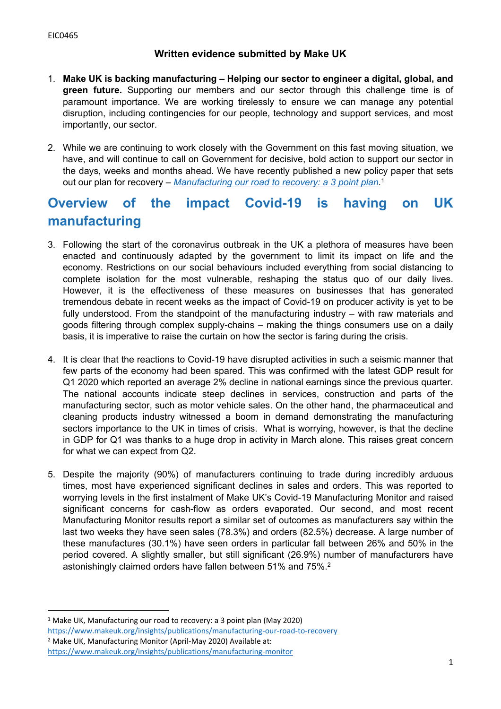# **Written evidence submitted by Make UK**

- 1. **Make UK is backing manufacturing – Helping our sector to engineer a digital, global, and green future.** Supporting our members and our sector through this challenge time is of paramount importance. We are working tirelessly to ensure we can manage any potential disruption, including contingencies for our people, technology and support services, and most importantly, our sector.
- 2. While we are continuing to work closely with the Government on this fast moving situation, we have, and will continue to call on Government for decisive, bold action to support our sector in the days, weeks and months ahead. We have recently published a new policy paper that sets out our plan for recovery – *[Manufacturing](https://www.makeuk.org/insights/publications/manufacturing-our-road-to-recovery) [our](https://www.makeuk.org/insights/publications/manufacturing-our-road-to-recovery) [road](https://www.makeuk.org/insights/publications/manufacturing-our-road-to-recovery) [to](https://www.makeuk.org/insights/publications/manufacturing-our-road-to-recovery) [recovery:](https://www.makeuk.org/insights/publications/manufacturing-our-road-to-recovery) [a](https://www.makeuk.org/insights/publications/manufacturing-our-road-to-recovery) [3](https://www.makeuk.org/insights/publications/manufacturing-our-road-to-recovery) [point](https://www.makeuk.org/insights/publications/manufacturing-our-road-to-recovery) [plan](https://www.makeuk.org/insights/publications/manufacturing-our-road-to-recovery)*. 1

# **Overview of the impact Covid-19 is having on UK manufacturing**

- 3. Following the start of the coronavirus outbreak in the UK a plethora of measures have been enacted and continuously adapted by the government to limit its impact on life and the economy. Restrictions on our social behaviours included everything from social distancing to complete isolation for the most vulnerable, reshaping the status quo of our daily lives. However, it is the effectiveness of these measures on businesses that has generated tremendous debate in recent weeks as the impact of Covid-19 on producer activity is yet to be fully understood. From the standpoint of the manufacturing industry – with raw materials and goods filtering through complex supply-chains – making the things consumers use on a daily basis, it is imperative to raise the curtain on how the sector is faring during the crisis.
- 4. It is clear that the reactions to Covid-19 have disrupted activities in such a seismic manner that few parts of the economy had been spared. This was confirmed with the latest GDP result for Q1 2020 which reported an average 2% decline in national earnings since the previous quarter. The national accounts indicate steep declines in services, construction and parts of the manufacturing sector, such as motor vehicle sales. On the other hand, the pharmaceutical and cleaning products industry witnessed a boom in demand demonstrating the manufacturing sectors importance to the UK in times of crisis. What is worrying, however, is that the decline in GDP for Q1 was thanks to a huge drop in activity in March alone. This raises great concern for what we can expect from Q2.
- 5. Despite the majority (90%) of manufacturers continuing to trade during incredibly arduous times, most have experienced significant declines in sales and orders. This was reported to worrying levels in the first instalment of Make UK's Covid-19 Manufacturing Monitor and raised significant concerns for cash-flow as orders evaporated. Our second, and most recent Manufacturing Monitor results report a similar set of outcomes as manufacturers say within the last two weeks they have seen sales (78.3%) and orders (82.5%) decrease. A large number of these manufactures (30.1%) have seen orders in particular fall between 26% and 50% in the period covered. A slightly smaller, but still significant (26.9%) number of manufacturers have astonishingly claimed orders have fallen between 51% and 75%.<sup>2</sup>

<sup>1</sup> Make UK, Manufacturing our road to recovery: a 3 point plan (May 2020) <https://www.makeuk.org/insights/publications/manufacturing-our-road-to-recovery>

<sup>2</sup> Make UK, Manufacturing Monitor (April-May 2020) Available at:

<https://www.makeuk.org/insights/publications/manufacturing-monitor>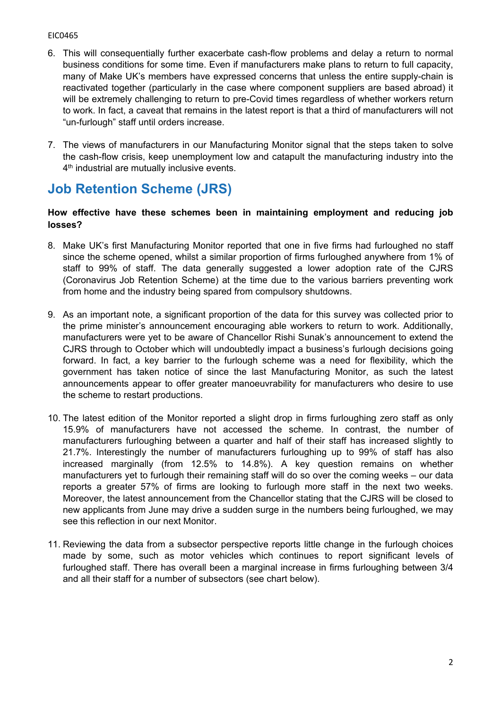- 6. This will consequentially further exacerbate cash-flow problems and delay a return to normal business conditions for some time. Even if manufacturers make plans to return to full capacity, many of Make UK's members have expressed concerns that unless the entire supply-chain is reactivated together (particularly in the case where component suppliers are based abroad) it will be extremely challenging to return to pre-Covid times regardless of whether workers return to work. In fact, a caveat that remains in the latest report is that a third of manufacturers will not "un-furlough" staff until orders increase.
- 7. The views of manufacturers in our Manufacturing Monitor signal that the steps taken to solve the cash-flow crisis, keep unemployment low and catapult the manufacturing industry into the 4<sup>th</sup> industrial are mutually inclusive events.

# **Job Retention Scheme (JRS)**

### **How effective have these schemes been in maintaining employment and reducing job losses?**

- 8. Make UK's first Manufacturing Monitor reported that one in five firms had furloughed no staff since the scheme opened, whilst a similar proportion of firms furloughed anywhere from 1% of staff to 99% of staff. The data generally suggested a lower adoption rate of the CJRS (Coronavirus Job Retention Scheme) at the time due to the various barriers preventing work from home and the industry being spared from compulsory shutdowns.
- 9. As an important note, a significant proportion of the data for this survey was collected prior to the prime minister's announcement encouraging able workers to return to work. Additionally, manufacturers were yet to be aware of Chancellor Rishi Sunak's announcement to extend the CJRS through to October which will undoubtedly impact a business's furlough decisions going forward. In fact, a key barrier to the furlough scheme was a need for flexibility, which the government has taken notice of since the last Manufacturing Monitor, as such the latest announcements appear to offer greater manoeuvrability for manufacturers who desire to use the scheme to restart productions.
- 10. The latest edition of the Monitor reported a slight drop in firms furloughing zero staff as only 15.9% of manufacturers have not accessed the scheme. In contrast, the number of manufacturers furloughing between a quarter and half of their staff has increased slightly to 21.7%. Interestingly the number of manufacturers furloughing up to 99% of staff has also increased marginally (from 12.5% to 14.8%). A key question remains on whether manufacturers yet to furlough their remaining staff will do so over the coming weeks – our data reports a greater 57% of firms are looking to furlough more staff in the next two weeks. Moreover, the latest announcement from the Chancellor stating that the CJRS will be closed to new applicants from June may drive a sudden surge in the numbers being furloughed, we may see this reflection in our next Monitor.
- 11. Reviewing the data from a subsector perspective reports little change in the furlough choices made by some, such as motor vehicles which continues to report significant levels of furloughed staff. There has overall been a marginal increase in firms furloughing between 3/4 and all their staff for a number of subsectors (see chart below).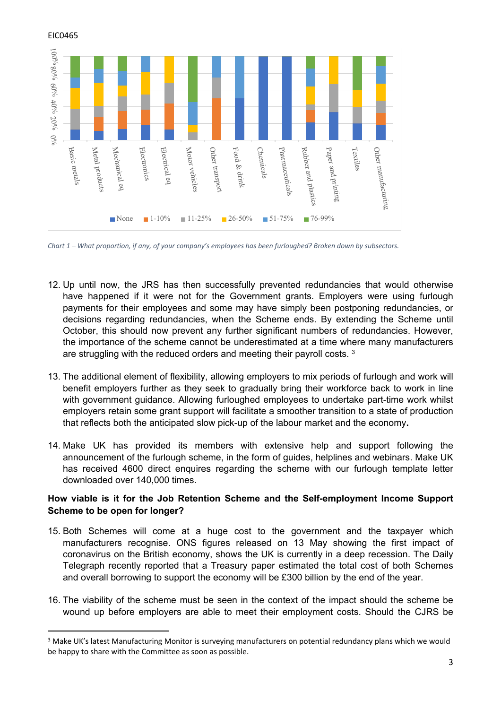

Chart 1 - What proportion, if any, of your company's employees has been furloughed? Broken down by subsectors.

- 12. Up until now, the JRS has then successfully prevented redundancies that would otherwise have happened if it were not for the Government grants. Employers were using furlough payments for their employees and some may have simply been postponing redundancies, or decisions regarding redundancies, when the Scheme ends. By extending the Scheme until October, this should now prevent any further significant numbers of redundancies. However, the importance of the scheme cannot be underestimated at a time where many manufacturers are struggling with the reduced orders and meeting their payroll costs. <sup>3</sup>
- 13. The additional element of flexibility, allowing employers to mix periods of furlough and work will benefit employers further as they seek to gradually bring their workforce back to work in line with government guidance. Allowing furloughed employees to undertake part-time work whilst employers retain some grant support will facilitate a smoother transition to a state of production that reflects both the anticipated slow pick-up of the labour market and the economy**.**
- 14. Make UK has provided its members with extensive help and support following the announcement of the furlough scheme, in the form of guides, helplines and webinars. Make UK has received 4600 direct enquires regarding the scheme with our furlough template letter downloaded over 140,000 times.

#### **How viable is it for the Job Retention Scheme and the Self-employment Income Support Scheme to be open for longer?**

- 15. Both Schemes will come at a huge cost to the government and the taxpayer which manufacturers recognise. ONS figures released on 13 May showing the first impact of coronavirus on the British economy, shows the UK is currently in a deep recession. The Daily Telegraph recently reported that a Treasury paper estimated the total cost of both Schemes and overall borrowing to support the economy will be £300 billion by the end of the year.
- 16. The viability of the scheme must be seen in the context of the impact should the scheme be wound up before employers are able to meet their employment costs. Should the CJRS be

<sup>3</sup> Make UK's latest Manufacturing Monitor is surveying manufacturers on potential redundancy plans which we would be happy to share with the Committee as soon as possible.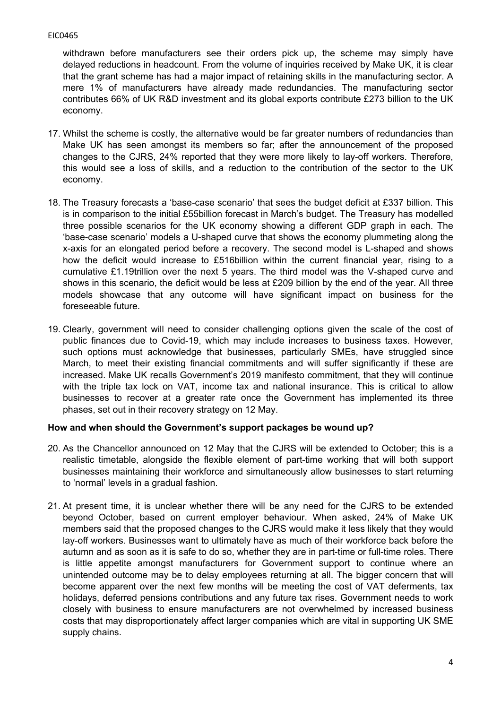withdrawn before manufacturers see their orders pick up, the scheme may simply have delayed reductions in headcount. From the volume of inquiries received by Make UK, it is clear that the grant scheme has had a major impact of retaining skills in the manufacturing sector. A mere 1% of manufacturers have already made redundancies. The manufacturing sector contributes 66% of UK R&D investment and its global exports contribute £273 billion to the UK economy.

- 17. Whilst the scheme is costly, the alternative would be far greater numbers of redundancies than Make UK has seen amongst its members so far; after the announcement of the proposed changes to the CJRS, 24% reported that they were more likely to lay-off workers. Therefore, this would see a loss of skills, and a reduction to the contribution of the sector to the UK economy.
- 18. The Treasury forecasts a 'base-case scenario' that sees the budget deficit at £337 billion. This is in comparison to the initial £55billion forecast in March's budget. The Treasury has modelled three possible scenarios for the UK economy showing a different GDP graph in each. The 'base-case scenario' models a U-shaped curve that shows the economy plummeting along the x-axis for an elongated period before a recovery. The second model is L-shaped and shows how the deficit would increase to £516billion within the current financial year, rising to a cumulative £1.19trillion over the next 5 years. The third model was the V-shaped curve and shows in this scenario, the deficit would be less at £209 billion by the end of the year. All three models showcase that any outcome will have significant impact on business for the foreseeable future.
- 19. Clearly, government will need to consider challenging options given the scale of the cost of public finances due to Covid-19, which may include increases to business taxes. However, such options must acknowledge that businesses, particularly SMEs, have struggled since March, to meet their existing financial commitments and will suffer significantly if these are increased. Make UK recalls Government's 2019 manifesto commitment, that they will continue with the triple tax lock on VAT, income tax and national insurance. This is critical to allow businesses to recover at a greater rate once the Government has implemented its three phases, set out in their recovery strategy on 12 May.

## **How and when should the Government's support packages be wound up?**

- 20. As the Chancellor announced on 12 May that the CJRS will be extended to October; this is a realistic timetable, alongside the flexible element of part-time working that will both support businesses maintaining their workforce and simultaneously allow businesses to start returning to 'normal' levels in a gradual fashion.
- 21. At present time, it is unclear whether there will be any need for the CJRS to be extended beyond October, based on current employer behaviour. When asked, 24% of Make UK members said that the proposed changes to the CJRS would make it less likely that they would lay-off workers. Businesses want to ultimately have as much of their workforce back before the autumn and as soon as it is safe to do so, whether they are in part-time or full-time roles. There is little appetite amongst manufacturers for Government support to continue where an unintended outcome may be to delay employees returning at all. The bigger concern that will become apparent over the next few months will be meeting the cost of VAT deferments, tax holidays, deferred pensions contributions and any future tax rises. Government needs to work closely with business to ensure manufacturers are not overwhelmed by increased business costs that may disproportionately affect larger companies which are vital in supporting UK SME supply chains.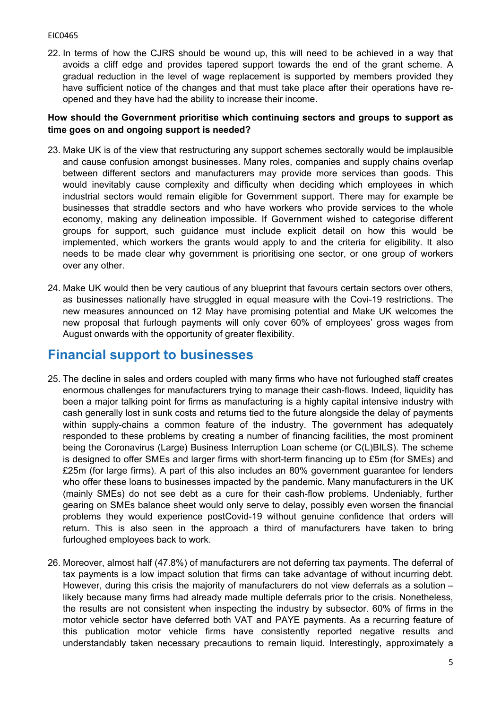22. In terms of how the CJRS should be wound up, this will need to be achieved in a way that avoids a cliff edge and provides tapered support towards the end of the grant scheme. A gradual reduction in the level of wage replacement is supported by members provided they have sufficient notice of the changes and that must take place after their operations have reopened and they have had the ability to increase their income.

### **How should the Government prioritise which continuing sectors and groups to support as time goes on and ongoing support is needed?**

- 23. Make UK is of the view that restructuring any support schemes sectorally would be implausible and cause confusion amongst businesses. Many roles, companies and supply chains overlap between different sectors and manufacturers may provide more services than goods. This would inevitably cause complexity and difficulty when deciding which employees in which industrial sectors would remain eligible for Government support. There may for example be businesses that straddle sectors and who have workers who provide services to the whole economy, making any delineation impossible. If Government wished to categorise different groups for support, such guidance must include explicit detail on how this would be implemented, which workers the grants would apply to and the criteria for eligibility. It also needs to be made clear why government is prioritising one sector, or one group of workers over any other.
- 24. Make UK would then be very cautious of any blueprint that favours certain sectors over others, as businesses nationally have struggled in equal measure with the Covi-19 restrictions. The new measures announced on 12 May have promising potential and Make UK welcomes the new proposal that furlough payments will only cover 60% of employees' gross wages from August onwards with the opportunity of greater flexibility.

# **Financial support to businesses**

- 25. The decline in sales and orders coupled with many firms who have not furloughed staff creates enormous challenges for manufacturers trying to manage their cash-flows. Indeed, liquidity has been a major talking point for firms as manufacturing is a highly capital intensive industry with cash generally lost in sunk costs and returns tied to the future alongside the delay of payments within supply-chains a common feature of the industry. The government has adequately responded to these problems by creating a number of financing facilities, the most prominent being the Coronavirus (Large) Business Interruption Loan scheme (or C(L)BILS). The scheme is designed to offer SMEs and larger firms with short-term financing up to £5m (for SMEs) and £25m (for large firms). A part of this also includes an 80% government guarantee for lenders who offer these loans to businesses impacted by the pandemic. Many manufacturers in the UK (mainly SMEs) do not see debt as a cure for their cash-flow problems. Undeniably, further gearing on SMEs balance sheet would only serve to delay, possibly even worsen the financial problems they would experience postCovid-19 without genuine confidence that orders will return. This is also seen in the approach a third of manufacturers have taken to bring furloughed employees back to work.
- 26. Moreover, almost half (47.8%) of manufacturers are not deferring tax payments. The deferral of tax payments is a low impact solution that firms can take advantage of without incurring debt. However, during this crisis the majority of manufacturers do not view deferrals as a solution – likely because many firms had already made multiple deferrals prior to the crisis. Nonetheless, the results are not consistent when inspecting the industry by subsector. 60% of firms in the motor vehicle sector have deferred both VAT and PAYE payments. As a recurring feature of this publication motor vehicle firms have consistently reported negative results and understandably taken necessary precautions to remain liquid. Interestingly, approximately a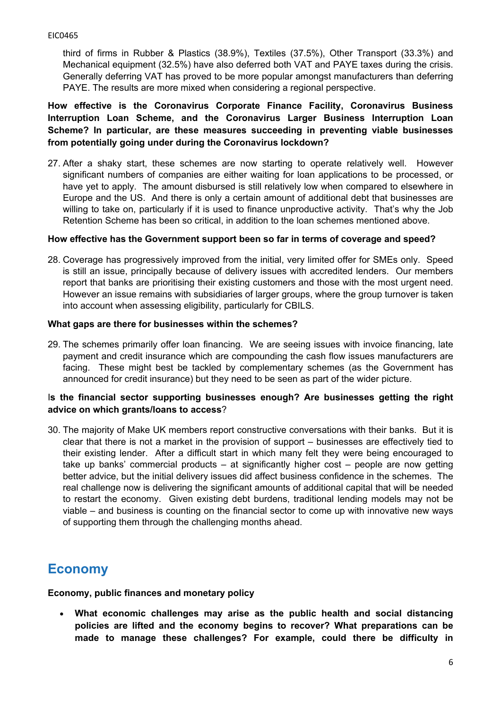third of firms in Rubber & Plastics (38.9%), Textiles (37.5%), Other Transport (33.3%) and Mechanical equipment (32.5%) have also deferred both VAT and PAYE taxes during the crisis. Generally deferring VAT has proved to be more popular amongst manufacturers than deferring PAYE. The results are more mixed when considering a regional perspective.

**How effective is the Coronavirus Corporate Finance Facility, Coronavirus Business Interruption Loan Scheme, and the Coronavirus Larger Business Interruption Loan Scheme? In particular, are these measures succeeding in preventing viable businesses from potentially going under during the Coronavirus lockdown?**

27. After a shaky start, these schemes are now starting to operate relatively well. However significant numbers of companies are either waiting for loan applications to be processed, or have yet to apply. The amount disbursed is still relatively low when compared to elsewhere in Europe and the US. And there is only a certain amount of additional debt that businesses are willing to take on, particularly if it is used to finance unproductive activity. That's why the Job Retention Scheme has been so critical, in addition to the loan schemes mentioned above.

#### **How effective has the Government support been so far in terms of coverage and speed?**

28. Coverage has progressively improved from the initial, very limited offer for SMEs only. Speed is still an issue, principally because of delivery issues with accredited lenders. Our members report that banks are prioritising their existing customers and those with the most urgent need. However an issue remains with subsidiaries of larger groups, where the group turnover is taken into account when assessing eligibility, particularly for CBILS.

#### **What gaps are there for businesses within the schemes?**

29. The schemes primarily offer loan financing. We are seeing issues with invoice financing, late payment and credit insurance which are compounding the cash flow issues manufacturers are facing. These might best be tackled by complementary schemes (as the Government has announced for credit insurance) but they need to be seen as part of the wider picture.

## I**s the financial sector supporting businesses enough? Are businesses getting the right advice on which grants/loans to access**?

30. The majority of Make UK members report constructive conversations with their banks. But it is clear that there is not a market in the provision of support – businesses are effectively tied to their existing lender. After a difficult start in which many felt they were being encouraged to take up banks' commercial products – at significantly higher cost – people are now getting better advice, but the initial delivery issues did affect business confidence in the schemes. The real challenge now is delivering the significant amounts of additional capital that will be needed to restart the economy. Given existing debt burdens, traditional lending models may not be viable – and business is counting on the financial sector to come up with innovative new ways of supporting them through the challenging months ahead.

# **Economy**

**Economy, public finances and monetary policy**

 **What economic challenges may arise as the public health and social distancing policies are lifted and the economy begins to recover? What preparations can be made to manage these challenges? For example, could there be difficulty in**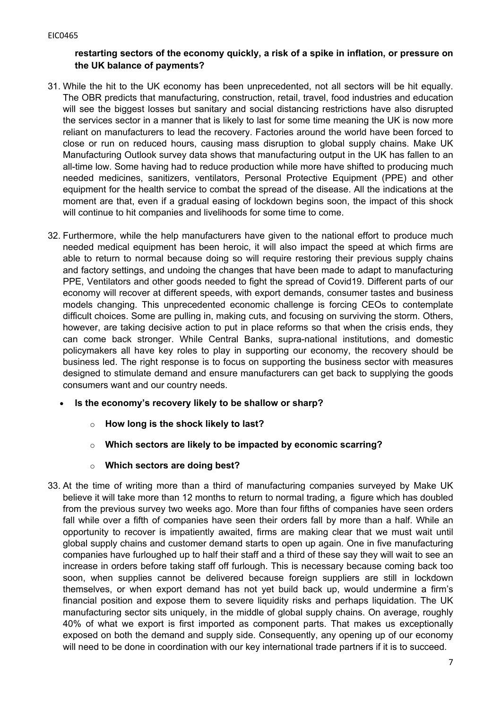# **restarting sectors of the economy quickly, a risk of a spike in inflation, or pressure on the UK balance of payments?**

- 31. While the hit to the UK economy has been unprecedented, not all sectors will be hit equally. The OBR predicts that manufacturing, construction, retail, travel, food industries and education will see the biggest losses but sanitary and social distancing restrictions have also disrupted the services sector in a manner that is likely to last for some time meaning the UK is now more reliant on manufacturers to lead the recovery. Factories around the world have been forced to close or run on reduced hours, causing mass disruption to global supply chains. Make UK Manufacturing Outlook survey data shows that manufacturing output in the UK has fallen to an all-time low. Some having had to reduce production while more have shifted to producing much needed medicines, sanitizers, ventilators, Personal Protective Equipment (PPE) and other equipment for the health service to combat the spread of the disease. All the indications at the moment are that, even if a gradual easing of lockdown begins soon, the impact of this shock will continue to hit companies and livelihoods for some time to come.
- 32. Furthermore, while the help manufacturers have given to the national effort to produce much needed medical equipment has been heroic, it will also impact the speed at which firms are able to return to normal because doing so will require restoring their previous supply chains and factory settings, and undoing the changes that have been made to adapt to manufacturing PPE, Ventilators and other goods needed to fight the spread of Covid19. Different parts of our economy will recover at different speeds, with export demands, consumer tastes and business models changing. This unprecedented economic challenge is forcing CEOs to contemplate difficult choices. Some are pulling in, making cuts, and focusing on surviving the storm. Others, however, are taking decisive action to put in place reforms so that when the crisis ends, they can come back stronger. While Central Banks, supra-national institutions, and domestic policymakers all have key roles to play in supporting our economy, the recovery should be business led. The right response is to focus on supporting the business sector with measures designed to stimulate demand and ensure manufacturers can get back to supplying the goods consumers want and our country needs.
	- **Is the economy's recovery likely to be shallow or sharp?**
		- o **How long is the shock likely to last?**
		- o **Which sectors are likely to be impacted by economic scarring?**
		- o **Which sectors are doing best?**
- 33. At the time of writing more than a third of manufacturing companies surveyed by Make UK believe it will take more than 12 months to return to normal trading, a figure which has doubled from the previous survey two weeks ago. More than four fifths of companies have seen orders fall while over a fifth of companies have seen their orders fall by more than a half. While an opportunity to recover is impatiently awaited, firms are making clear that we must wait until global supply chains and customer demand starts to open up again. One in five manufacturing companies have furloughed up to half their staff and a third of these say they will wait to see an increase in orders before taking staff off furlough. This is necessary because coming back too soon, when supplies cannot be delivered because foreign suppliers are still in lockdown themselves, or when export demand has not yet build back up, would undermine a firm's financial position and expose them to severe liquidity risks and perhaps liquidation. The UK manufacturing sector sits uniquely, in the middle of global supply chains. On average, roughly 40% of what we export is first imported as component parts. That makes us exceptionally exposed on both the demand and supply side. Consequently, any opening up of our economy will need to be done in coordination with our key international trade partners if it is to succeed.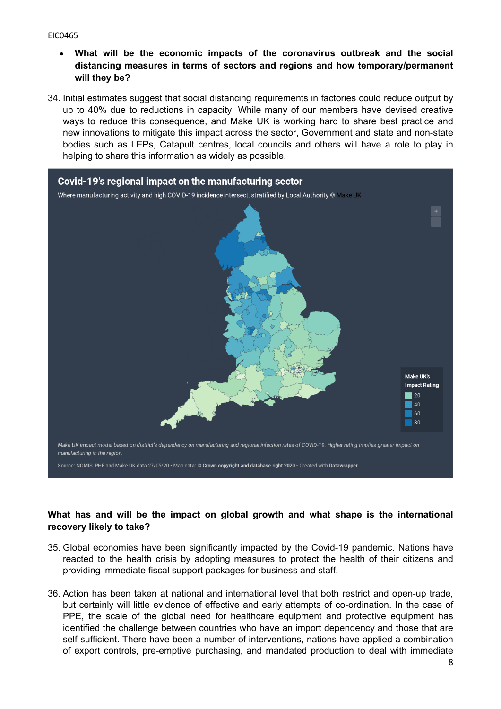- **What will be the economic impacts of the coronavirus outbreak and the social distancing measures in terms of sectors and regions and how temporary/permanent will they be?**
- 34. Initial estimates suggest that social distancing requirements in factories could reduce output by up to 40% due to reductions in capacity. While many of our members have devised creative ways to reduce this consequence, and Make UK is working hard to share best practice and new innovations to mitigate this impact across the sector, Government and state and non-state bodies such as LEPs, Catapult centres, local councils and others will have a role to play in helping to share this information as widely as possible.



# **What has and will be the impact on global growth and what shape is the international recovery likely to take?**

- 35. Global economies have been significantly impacted by the Covid-19 pandemic. Nations have reacted to the health crisis by adopting measures to protect the health of their citizens and providing immediate fiscal support packages for business and staff.
- 36. Action has been taken at national and international level that both restrict and open-up trade, but certainly will little evidence of effective and early attempts of co-ordination. In the case of PPE, the scale of the global need for healthcare equipment and protective equipment has identified the challenge between countries who have an import dependency and those that are self-sufficient. There have been a number of interventions, nations have applied a combination of export controls, pre-emptive purchasing, and mandated production to deal with immediate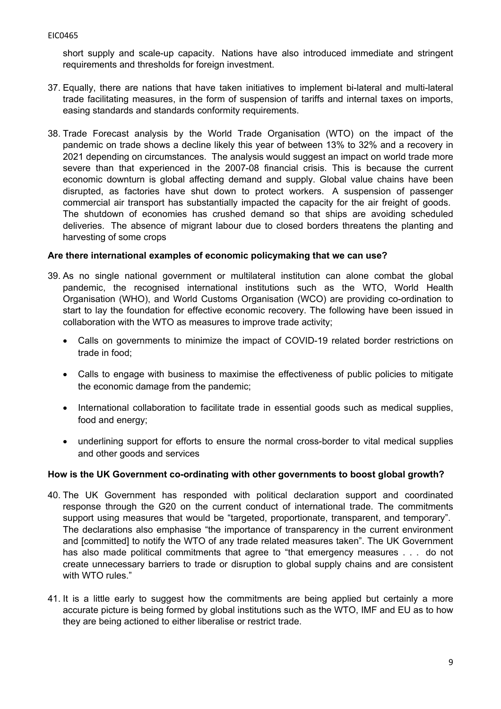short supply and scale-up capacity. Nations have also introduced immediate and stringent requirements and thresholds for foreign investment.

- 37. Equally, there are nations that have taken initiatives to implement bi-lateral and multi-lateral trade facilitating measures, in the form of suspension of tariffs and internal taxes on imports, easing standards and standards conformity requirements.
- 38. Trade Forecast analysis by the World Trade Organisation (WTO) on the impact of the pandemic on trade shows a decline likely this year of between 13% to 32% and a recovery in 2021 depending on circumstances. The analysis would suggest an impact on world trade more severe than that experienced in the 2007-08 financial crisis. This is because the current economic downturn is global affecting demand and supply. Global value chains have been disrupted, as factories have shut down to protect workers. A suspension of passenger commercial air transport has substantially impacted the capacity for the air freight of goods. The shutdown of economies has crushed demand so that ships are avoiding scheduled deliveries. The absence of migrant labour due to closed borders threatens the planting and harvesting of some crops

## **Are there international examples of economic policymaking that we can use?**

- 39. As no single national government or multilateral institution can alone combat the global pandemic, the recognised international institutions such as the WTO, World Health Organisation (WHO), and World Customs Organisation (WCO) are providing co-ordination to start to lay the foundation for effective economic recovery. The following have been issued in collaboration with the WTO as measures to improve trade activity;
	- Calls on governments to minimize the impact of COVID-19 related border restrictions on trade in food;
	- Calls to engage with business to maximise the effectiveness of public policies to mitigate the economic damage from the pandemic;
	- International collaboration to facilitate trade in essential goods such as medical supplies, food and energy;
	- underlining support for efforts to ensure the normal cross-border to vital medical supplies and other goods and services

#### **How is the UK Government co-ordinating with other governments to boost global growth?**

- 40. The UK Government has responded with political declaration support and coordinated response through the G20 on the current conduct of international trade. The commitments support using measures that would be "targeted, proportionate, transparent, and temporary". The declarations also emphasise "the importance of transparency in the current environment and [committed] to notify the WTO of any trade related measures taken". The UK Government has also made political commitments that agree to "that emergency measures . . . do not create unnecessary barriers to trade or disruption to global supply chains and are consistent with WTO rules."
- 41. It is a little early to suggest how the commitments are being applied but certainly a more accurate picture is being formed by global institutions such as the WTO, IMF and EU as to how they are being actioned to either liberalise or restrict trade.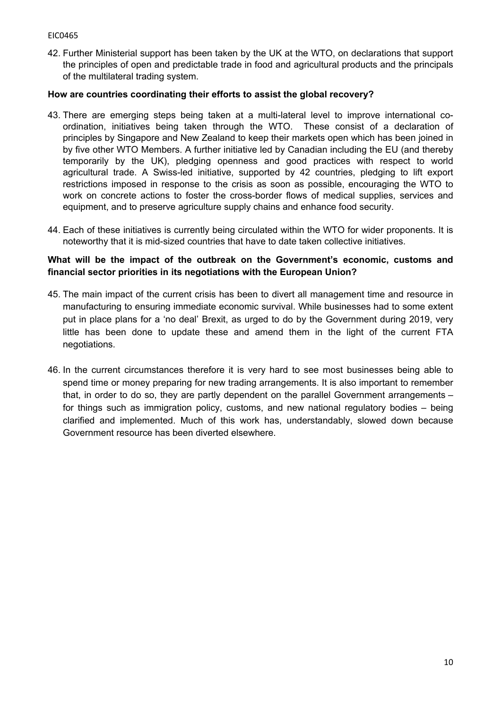42. Further Ministerial support has been taken by the UK at the WTO, on declarations that support the principles of open and predictable trade in food and agricultural products and the principals of the multilateral trading system.

# **How are countries coordinating their efforts to assist the global recovery?**

- 43. There are emerging steps being taken at a multi-lateral level to improve international coordination, initiatives being taken through the WTO. These consist of a declaration of principles by Singapore and New Zealand to keep their markets open which has been joined in by five other WTO Members. A further initiative led by Canadian including the EU (and thereby temporarily by the UK), pledging openness and good practices with respect to world agricultural trade. A Swiss-led initiative, supported by 42 countries, pledging to lift export restrictions imposed in response to the crisis as soon as possible, encouraging the WTO to work on concrete actions to foster the cross-border flows of medical supplies, services and equipment, and to preserve agriculture supply chains and enhance food security.
- 44. Each of these initiatives is currently being circulated within the WTO for wider proponents. It is noteworthy that it is mid-sized countries that have to date taken collective initiatives.

# **What will be the impact of the outbreak on the Government's economic, customs and financial sector priorities in its negotiations with the European Union?**

- 45. The main impact of the current crisis has been to divert all management time and resource in manufacturing to ensuring immediate economic survival. While businesses had to some extent put in place plans for a 'no deal' Brexit, as urged to do by the Government during 2019, very little has been done to update these and amend them in the light of the current FTA negotiations.
- 46. In the current circumstances therefore it is very hard to see most businesses being able to spend time or money preparing for new trading arrangements. It is also important to remember that, in order to do so, they are partly dependent on the parallel Government arrangements – for things such as immigration policy, customs, and new national regulatory bodies – being clarified and implemented. Much of this work has, understandably, slowed down because Government resource has been diverted elsewhere.